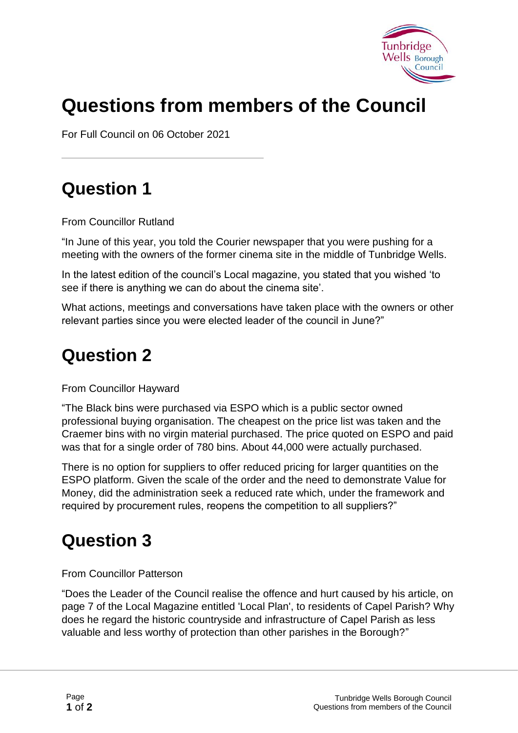

# **Questions from members of the Council**

For Full Council on 06 October 2021

# **Question 1**

From Councillor Rutland

"In June of this year, you told the Courier newspaper that you were pushing for a meeting with the owners of the former cinema site in the middle of Tunbridge Wells.

In the latest edition of the council's Local magazine, you stated that you wished 'to see if there is anything we can do about the cinema site'.

What actions, meetings and conversations have taken place with the owners or other relevant parties since you were elected leader of the council in June?"

# **Question 2**

From Councillor Hayward

"The Black bins were purchased via ESPO which is a public sector owned professional buying organisation. The cheapest on the price list was taken and the Craemer bins with no virgin material purchased. The price quoted on ESPO and paid was that for a single order of 780 bins. About 44,000 were actually purchased.

There is no option for suppliers to offer reduced pricing for larger quantities on the ESPO platform. Given the scale of the order and the need to demonstrate Value for Money, did the administration seek a reduced rate which, under the framework and required by procurement rules, reopens the competition to all suppliers?"

# **Question 3**

#### From Councillor Patterson

"Does the Leader of the Council realise the offence and hurt caused by his article, on page 7 of the Local Magazine entitled 'Local Plan', to residents of Capel Parish? Why does he regard the historic countryside and infrastructure of Capel Parish as less valuable and less worthy of protection than other parishes in the Borough?"